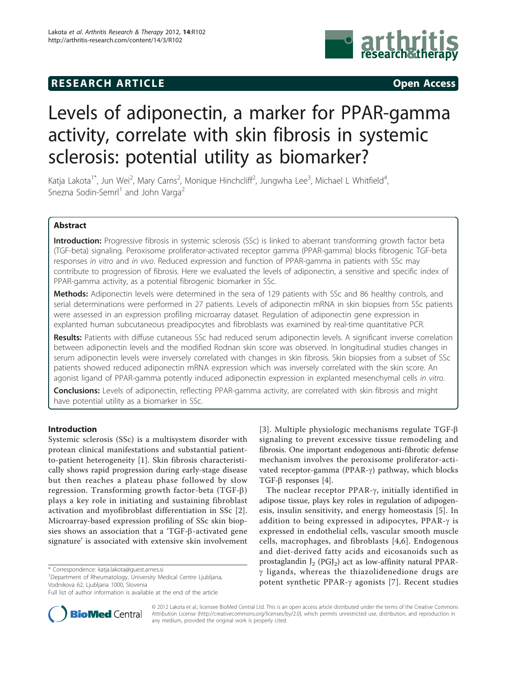# **RESEARCH ARTICLE Example 2014 CONSIDERING CONSIDERING CONSIDERING CONSIDERING CONSIDERING CONSIDERING CONSIDERING CONSIDERING CONSIDERING CONSIDERING CONSIDERING CONSIDERING CONSIDERING CONSIDERING CONSIDERING CONSIDE**



# Levels of adiponectin, a marker for PPAR-gamma activity, correlate with skin fibrosis in systemic sclerosis: potential utility as biomarker?

Katja Lakota<sup>1\*</sup>, Jun Wei<sup>2</sup>, Mary Carns<sup>2</sup>, Monique Hinchcliff<sup>2</sup>, Jungwha Lee<sup>3</sup>, Michael L Whitfield<sup>4</sup> , Snezna Sodin-Semrl<sup>1</sup> and John Varga<sup>2</sup>

# Abstract

Introduction: Progressive fibrosis in systemic sclerosis (SSc) is linked to aberrant transforming growth factor beta (TGF-beta) signaling. Peroxisome proliferator-activated receptor gamma (PPAR-gamma) blocks fibrogenic TGF-beta responses in vitro and in vivo. Reduced expression and function of PPAR-gamma in patients with SSc may contribute to progression of fibrosis. Here we evaluated the levels of adiponectin, a sensitive and specific index of PPAR-gamma activity, as a potential fibrogenic biomarker in SSc.

Methods: Adiponectin levels were determined in the sera of 129 patients with SSc and 86 healthy controls, and serial determinations were performed in 27 patients. Levels of adiponectin mRNA in skin biopsies from SSc patients were assessed in an expression profiling microarray dataset. Regulation of adiponectin gene expression in explanted human subcutaneous preadipocytes and fibroblasts was examined by real-time quantitative PCR.

Results: Patients with diffuse cutaneous SSc had reduced serum adiponectin levels. A significant inverse correlation between adiponectin levels and the modified Rodnan skin score was observed. In longitudinal studies changes in serum adiponectin levels were inversely correlated with changes in skin fibrosis. Skin biopsies from a subset of SSc patients showed reduced adiponectin mRNA expression which was inversely correlated with the skin score. An agonist ligand of PPAR-gamma potently induced adiponectin expression in explanted mesenchymal cells in vitro.

Conclusions: Levels of adiponectin, reflecting PPAR-gamma activity, are correlated with skin fibrosis and might have potential utility as a biomarker in SSc.

# Introduction

Systemic sclerosis (SSc) is a multisystem disorder with protean clinical manifestations and substantial patientto-patient heterogeneity [\[1](#page-5-0)]. Skin fibrosis characteristically shows rapid progression during early-stage disease but then reaches a plateau phase followed by slow regression. Transforming growth factor-beta (TGF-b) plays a key role in initiating and sustaining fibroblast activation and myofibroblast differentiation in SSc [[2](#page-5-0)]. Microarray-based expression profiling of SSc skin biopsies shows an association that a 'TGF-b-activated gene signature' is associated with extensive skin involvement

<sup>1</sup>Department of Rheumatology, University Medical Centre Ljubljana, Vodnikova 62, Ljubljana 1000, Slovenia



The nuclear receptor PPAR- $\gamma$ , initially identified in adipose tissue, plays key roles in regulation of adipogenesis, insulin sensitivity, and energy homeostasis [\[5\]](#page-5-0). In addition to being expressed in adipocytes, PPAR- $\gamma$  is expressed in endothelial cells, vascular smooth muscle cells, macrophages, and fibroblasts [[4](#page-5-0),[6\]](#page-5-0). Endogenous and diet-derived fatty acids and eicosanoids such as prostaglandin  $J_2$  (PGJ<sub>2</sub>) act as low-affinity natural PPAR- $\gamma$  ligands, whereas the thiazolidenedione drugs are potent synthetic PPAR- $\gamma$  agonists [[7](#page-5-0)]. Recent studies



© 2012 Lakota et al.; licensee BioMed Central Ltd. This is an open access article distributed under the terms of the Creative Commons Attribution License [\(http://creativecommons.org/licenses/by/2.0](http://creativecommons.org/licenses/by/2.0)), which permits unrestricted use, distribution, and reproduction in any medium, provided the original work is properly cited.

<sup>\*</sup> Correspondence: [katja.lakota@guest.arnes.si](mailto:katja.lakota@guest.arnes.si)

Full list of author information is available at the end of the article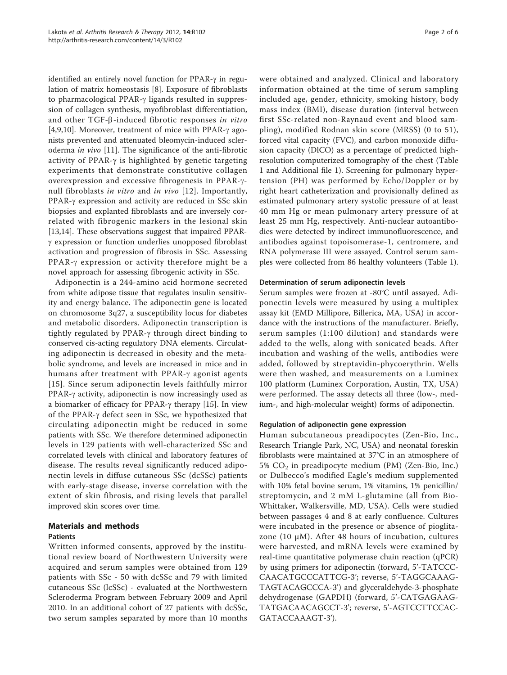identified an entirely novel function for PPAR- $\gamma$  in regulation of matrix homeostasis [[8\]](#page-5-0). Exposure of fibroblasts to pharmacological PPAR- $\gamma$  ligands resulted in suppression of collagen synthesis, myofibroblast differentiation, and other TGF- $\beta$ -induced fibrotic responses in vitro [[4,9,10](#page-5-0)]. Moreover, treatment of mice with PPAR- $\gamma$  agonists prevented and attenuated bleomycin-induced scleroderma in vivo [\[11](#page-5-0)]. The significance of the anti-fibrotic activity of PPAR- $\gamma$  is highlighted by genetic targeting experiments that demonstrate constitutive collagen overexpression and excessive fibrogenesis in PPAR-g-null fibroblasts in vitro and in vivo [[12\]](#page-5-0). Importantly, PPAR- $\gamma$  expression and activity are reduced in SSc skin biopsies and explanted fibroblasts and are inversely correlated with fibrogenic markers in the lesional skin [[13,14\]](#page-5-0). These observations suggest that impaired PPAR- $\gamma$  expression or function underlies unopposed fibroblast activation and progression of fibrosis in SSc. Assessing PPAR- $\gamma$  expression or activity therefore might be a novel approach for assessing fibrogenic activity in SSc.

Adiponectin is a 244-amino acid hormone secreted from white adipose tissue that regulates insulin sensitivity and energy balance. The adiponectin gene is located on chromosome 3q27, a susceptibility locus for diabetes and metabolic disorders. Adiponectin transcription is tightly regulated by PPAR- $\gamma$  through direct binding to conserved cis-acting regulatory DNA elements. Circulating adiponectin is decreased in obesity and the metabolic syndrome, and levels are increased in mice and in humans after treatment with PPAR- $\gamma$  agonist agents [[15\]](#page-5-0). Since serum adiponectin levels faithfully mirror PPAR- $\gamma$  activity, adiponectin is now increasingly used as a biomarker of efficacy for PPAR- $\gamma$  therapy [[15\]](#page-5-0). In view of the PPAR- $\gamma$  defect seen in SSc, we hypothesized that circulating adiponectin might be reduced in some patients with SSc. We therefore determined adiponectin levels in 129 patients with well-characterized SSc and correlated levels with clinical and laboratory features of disease. The results reveal significantly reduced adiponectin levels in diffuse cutaneous SSc (dcSSc) patients with early-stage disease, inverse correlation with the extent of skin fibrosis, and rising levels that parallel improved skin scores over time.

# Materials and methods

# Patients

Written informed consents, approved by the institutional review board of Northwestern University were acquired and serum samples were obtained from 129 patients with SSc - 50 with dcSSc and 79 with limited cutaneous SSc (lcSSc) - evaluated at the Northwestern Scleroderma Program between February 2009 and April 2010. In an additional cohort of 27 patients with dcSSc, two serum samples separated by more than 10 months were obtained and analyzed. Clinical and laboratory information obtained at the time of serum sampling included age, gender, ethnicity, smoking history, body mass index (BMI), disease duration (interval between first SSc-related non-Raynaud event and blood sampling), modified Rodnan skin score (MRSS) (0 to 51), forced vital capacity (FVC), and carbon monoxide diffusion capacity (DlCO) as a percentage of predicted highresolution computerized tomography of the chest (Table [1](#page-2-0) and Additional file [1\)](#page-4-0). Screening for pulmonary hypertension (PH) was performed by Echo/Doppler or by right heart catheterization and provisionally defined as estimated pulmonary artery systolic pressure of at least 40 mm Hg or mean pulmonary artery pressure of at least 25 mm Hg, respectively. Anti-nuclear autoantibodies were detected by indirect immunofluorescence, and antibodies against topoisomerase-1, centromere, and RNA polymerase III were assayed. Control serum samples were collected from 86 healthy volunteers (Table [1](#page-2-0)).

#### Determination of serum adiponectin levels

Serum samples were frozen at -80°C until assayed. Adiponectin levels were measured by using a multiplex assay kit (EMD Millipore, Billerica, MA, USA) in accordance with the instructions of the manufacturer. Briefly, serum samples (1:100 dilution) and standards were added to the wells, along with sonicated beads. After incubation and washing of the wells, antibodies were added, followed by streptavidin-phycoerythrin. Wells were then washed, and measurements on a Luminex 100 platform (Luminex Corporation, Austin, TX, USA) were performed. The assay detects all three (low-, medium-, and high-molecular weight) forms of adiponectin.

## Regulation of adiponectin gene expression

Human subcutaneous preadipocytes (Zen-Bio, Inc., Research Triangle Park, NC, USA) and neonatal foreskin fibroblasts were maintained at 37°C in an atmosphere of 5%  $CO<sub>2</sub>$  in preadipocyte medium (PM) (Zen-Bio, Inc.) or Dulbecco's modified Eagle's medium supplemented with 10% fetal bovine serum, 1% vitamins, 1% penicillin/ streptomycin, and 2 mM L-glutamine (all from Bio-Whittaker, Walkersville, MD, USA). Cells were studied between passages 4 and 8 at early confluence. Cultures were incubated in the presence or absence of pioglitazone (10 μM). After 48 hours of incubation, cultures were harvested, and mRNA levels were examined by real-time quantitative polymerase chain reaction (qPCR) by using primers for adiponectin (forward, 5'-TATCCC-CAACATGCCCATTCG-3'; reverse, 5'-TAGGCAAAG-TAGTACAGCCCA-3') and glyceraldehyde-3-phosphate dehydrogenase (GAPDH) (forward, 5'-CATGAGAAG-TATGACAACAGCCT-3'; reverse, 5'-AGTCCTTCCAC-GATACCAAAGT-3').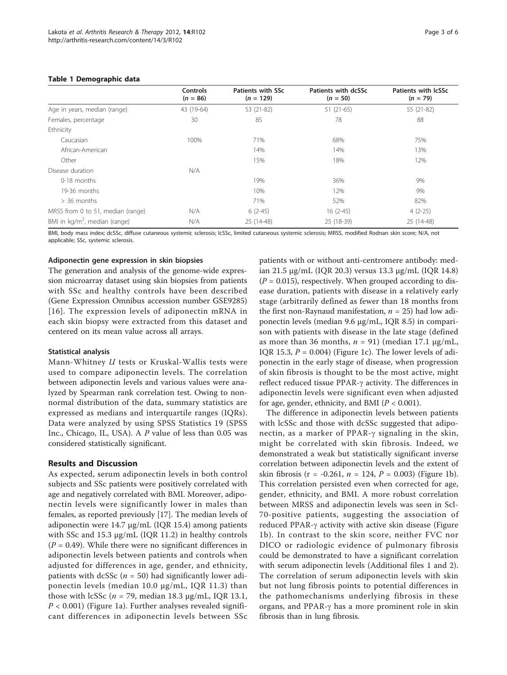#### <span id="page-2-0"></span>Table 1 Demographic data

|                                         | <b>Controls</b><br>$(n = 86)$ | Patients with SSc<br>$(n = 129)$ | Patients with dcSSc<br>$(n = 50)$ | Patients with IcSSc<br>$(n = 79)$ |
|-----------------------------------------|-------------------------------|----------------------------------|-----------------------------------|-----------------------------------|
| Age in years, median (range)            | 43 (19-64)                    | 53 (21-82)                       | $51(21-65)$                       | 55 (21-82)                        |
| Females, percentage                     | 30                            | 85                               | 78                                | 88                                |
| Ethnicity                               |                               |                                  |                                   |                                   |
| Caucasian                               | 100%                          | 71%                              | 68%                               | 75%                               |
| African-American                        |                               | 14%                              | 14%                               | 13%                               |
| Other                                   |                               | 15%                              | 18%                               | 12%                               |
| Disease duration                        | N/A                           |                                  |                                   |                                   |
| 0-18 months                             |                               | 19%                              | 36%                               | 9%                                |
| 19-36 months                            |                               | 10%                              | 12%                               | 9%                                |
| $>$ 36 months                           |                               | 71%                              | 52%                               | 82%                               |
| MRSS from 0 to 51, median (range)       | N/A                           | $6(2-45)$                        | $16(2-45)$                        | $4(2-25)$                         |
| BMI in $\text{kg/m}^2$ , median (range) | N/A                           | 25 (14-48)                       | 25 (18-39)                        | 25 (14-48)                        |

BMI, body mass index; dcSSc, diffuse cutaneous systemic sclerosis; lcSSc, limited cutaneous systemic sclerosis; MRSS, modified Rodnan skin score; N/A, not applicable; SSc, systemic sclerosis.

#### Adiponectin gene expression in skin biopsies

The generation and analysis of the genome-wide expression microarray dataset using skin biopsies from patients with SSc and healthy controls have been described (Gene Expression Omnibus accession number GSE9285) [[16\]](#page-5-0). The expression levels of adiponectin mRNA in each skin biopsy were extracted from this dataset and centered on its mean value across all arrays.

#### Statistical analysis

Mann-Whitney U tests or Kruskal-Wallis tests were used to compare adiponectin levels. The correlation between adiponectin levels and various values were analyzed by Spearman rank correlation test. Owing to nonnormal distribution of the data, summary statistics are expressed as medians and interquartile ranges (IQRs). Data were analyzed by using SPSS Statistics 19 (SPSS Inc., Chicago, IL, USA). A P value of less than 0.05 was considered statistically significant.

## Results and Discussion

As expected, serum adiponectin levels in both control subjects and SSc patients were positively correlated with age and negatively correlated with BMI. Moreover, adiponectin levels were significantly lower in males than females, as reported previously [[17\]](#page-5-0). The median levels of adiponectin were 14.7 μg/mL (IQR 15.4) among patients with SSc and 15.3 μg/mL (IQR 11.2) in healthy controls  $(P = 0.49)$ . While there were no significant differences in adiponectin levels between patients and controls when adjusted for differences in age, gender, and ethnicity, patients with dcSSc ( $n = 50$ ) had significantly lower adiponectin levels (median 10.0 μg/mL, IQR 11.3) than those with lcSSc ( $n = 79$ , median 18.3 μg/mL, IQR 13.1,  $P < 0.001$ ) (Figure [1a](#page-3-0)). Further analyses revealed significant differences in adiponectin levels between SSc

patients with or without anti-centromere antibody: median 21.5 μg/mL (IQR 20.3) versus 13.3 μg/mL (IQR 14.8)  $(P = 0.015)$ , respectively. When grouped according to disease duration, patients with disease in a relatively early stage (arbitrarily defined as fewer than 18 months from the first non-Raynaud manifestation,  $n = 25$ ) had low adiponectin levels (median 9.6 μg/mL, IQR 8.5) in comparison with patients with disease in the late stage (defined as more than 36 months,  $n = 91$ ) (median 17.1  $\mu$ g/mL, IQR 15.3,  $P = 0.004$ ) (Figure [1c](#page-3-0)). The lower levels of adiponectin in the early stage of disease, when progression of skin fibrosis is thought to be the most active, might reflect reduced tissue PPAR- $\gamma$  activity. The differences in adiponectin levels were significant even when adjusted for age, gender, ethnicity, and BMI ( $P < 0.001$ ).

The difference in adiponectin levels between patients with lcSSc and those with dcSSc suggested that adiponectin, as a marker of PPAR- $\gamma$  signaling in the skin, might be correlated with skin fibrosis. Indeed, we demonstrated a weak but statistically significant inverse correlation between adiponectin levels and the extent of skin fibrosis (r = -0.261,  $n = 124$ ,  $P = 0.003$ ) (Figure [1b](#page-3-0)). This correlation persisted even when corrected for age, gender, ethnicity, and BMI. A more robust correlation between MRSS and adiponectin levels was seen in Scl-70-positive patients, suggesting the association of reduced PPAR- $\gamma$  activity with active skin disease (Figure [1b\)](#page-3-0). In contrast to the skin score, neither FVC nor DlCO or radiologic evidence of pulmonary fibrosis could be demonstrated to have a significant correlation with serum adiponectin levels (Additional files [1](#page-4-0) and [2](#page-4-0)). The correlation of serum adiponectin levels with skin but not lung fibrosis points to potential differences in the pathomechanisms underlying fibrosis in these organs, and PPAR- $\gamma$  has a more prominent role in skin fibrosis than in lung fibrosis.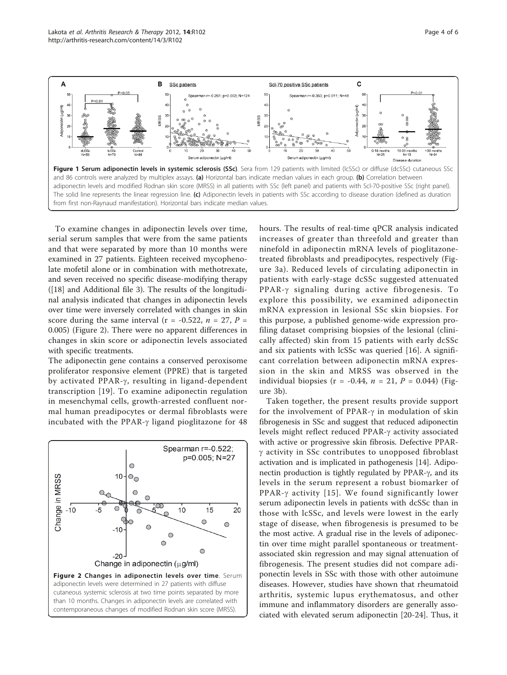<span id="page-3-0"></span>

To examine changes in adiponectin levels over time, serial serum samples that were from the same patients and that were separated by more than 10 months were examined in 27 patients. Eighteen received mycophenolate mofetil alone or in combination with methotrexate, and seven received no specific disease-modifying therapy ([[18\]](#page-5-0) and Additional file [3\)](#page-4-0). The results of the longitudinal analysis indicated that changes in adiponectin levels over time were inversely correlated with changes in skin score during the same interval ( $r = -0.522$ ,  $n = 27$ ,  $P =$ 0.005) (Figure 2). There were no apparent differences in changes in skin score or adiponectin levels associated with specific treatments.

The adiponectin gene contains a conserved peroxisome proliferator responsive element (PPRE) that is targeted by activated PPAR- $\gamma$ , resulting in ligand-dependent transcription [[19](#page-5-0)]. To examine adiponectin regulation in mesenchymal cells, growth-arrested confluent normal human preadipocytes or dermal fibroblasts were incubated with the PPAR- $\gamma$  ligand pioglitazone for 48



hours. The results of real-time qPCR analysis indicated increases of greater than threefold and greater than ninefold in adiponectin mRNA levels of pioglitazonetreated fibroblasts and preadipocytes, respectively (Figure [3a\)](#page-4-0). Reduced levels of circulating adiponectin in patients with early-stage dcSSc suggested attenuated PPAR-y signaling during active fibrogenesis. To explore this possibility, we examined adiponectin mRNA expression in lesional SSc skin biopsies. For this purpose, a published genome-wide expression profiling dataset comprising biopsies of the lesional (clinically affected) skin from 15 patients with early dcSSc and six patients with lcSSc was queried [[16\]](#page-5-0). A significant correlation between adiponectin mRNA expression in the skin and MRSS was observed in the individual biopsies (r = -0.44,  $n = 21$ ,  $P = 0.044$ ) (Figure [3b\)](#page-4-0).

Taken together, the present results provide support for the involvement of PPAR- $\gamma$  in modulation of skin fibrogenesis in SSc and suggest that reduced adiponectin levels might reflect reduced PPAR-g activity associated with active or progressive skin fibrosis. Defective PPAR- $\gamma$  activity in SSc contributes to unopposed fibroblast activation and is implicated in pathogenesis [[14](#page-5-0)]. Adiponectin production is tightly regulated by PPAR- $\gamma$ , and its levels in the serum represent a robust biomarker of PPAR- $\gamma$  activity [[15\]](#page-5-0). We found significantly lower serum adiponectin levels in patients with dcSSc than in those with lcSSc, and levels were lowest in the early stage of disease, when fibrogenesis is presumed to be the most active. A gradual rise in the levels of adiponectin over time might parallel spontaneous or treatmentassociated skin regression and may signal attenuation of fibrogenesis. The present studies did not compare adiponectin levels in SSc with those with other autoimune diseases. However, studies have shown that rheumatoid arthritis, systemic lupus erythematosus, and other immune and inflammatory disorders are generally associated with elevated serum adiponectin [\[20-24](#page-5-0)]. Thus, it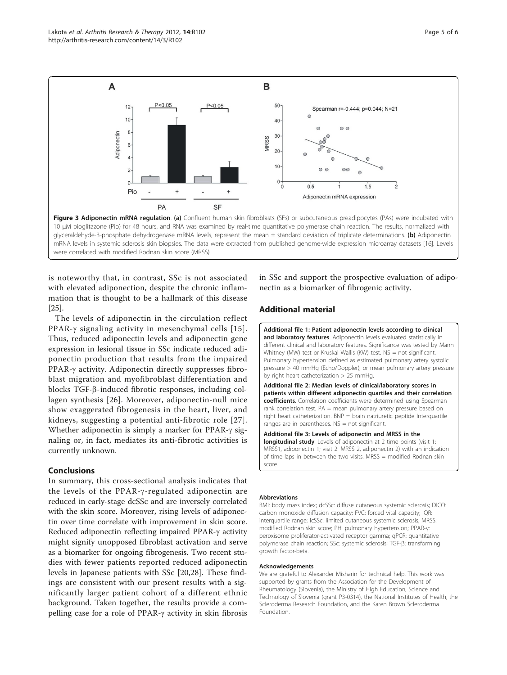<span id="page-4-0"></span>

glyceraldehyde-3-phosphate dehydrogenase mRNA levels, represent the mean ± standard deviation of triplicate determinations. (b) Adiponectin mRNA levels in systemic sclerosis skin biopsies. The data were extracted from published genome-wide expression microarray datasets [\[16](#page-5-0)]. Levels were correlated with modified Rodnan skin score (MRSS).

is noteworthy that, in contrast, SSc is not associated with elevated adiponection, despite the chronic inflammation that is thought to be a hallmark of this disease [[25\]](#page-5-0).

The levels of adiponectin in the circulation reflect PPAR- $\gamma$  signaling activity in mesenchymal cells [[15\]](#page-5-0). Thus, reduced adiponectin levels and adiponectin gene expression in lesional tissue in SSc indicate reduced adiponectin production that results from the impaired PPAR- $\gamma$  activity. Adiponectin directly suppresses fibroblast migration and myofibroblast differentiation and blocks TGF-b-induced fibrotic responses, including collagen synthesis [[26\]](#page-5-0). Moreover, adiponectin-null mice show exaggerated fibrogenesis in the heart, liver, and kidneys, suggesting a potential anti-fibrotic role [[27\]](#page-5-0). Whether adiponectin is simply a marker for PPAR- $\gamma$  signaling or, in fact, mediates its anti-fibrotic activities is currently unknown.

### Conclusions

In summary, this cross-sectional analysis indicates that the levels of the PPAR- $\gamma$ -regulated adiponectin are reduced in early-stage dcSSc and are inversely correlated with the skin score. Moreover, rising levels of adiponectin over time correlate with improvement in skin score. Reduced adiponectin reflecting impaired PPAR- $\gamma$  activity might signify unopposed fibroblast activation and serve as a biomarker for ongoing fibrogenesis. Two recent studies with fewer patients reported reduced adiponectin levels in Japanese patients with SSc [[20,28\]](#page-5-0). These findings are consistent with our present results with a significantly larger patient cohort of a different ethnic background. Taken together, the results provide a compelling case for a role of PPAR- $\gamma$  activity in skin fibrosis

in SSc and support the prospective evaluation of adiponectin as a biomarker of fibrogenic activity.

# Additional material

[Additional file 1: P](http://www.biomedcentral.com/content/supplementary/ar3827-S1.XLS)atient adiponectin levels according to clinical and laboratory features. Adiponectin levels evaluated statistically in different clinical and laboratory features. Significance was tested by Mann Whitney (MW) test or Kruskal Wallis (KW) test. NS = not significant. Pulmonary hypertension defined as estimated pulmonary artery systolic pressure > 40 mmHg (Echo/Doppler), or mean pulmonary artery pressure by right heart catheterization > 25 mmHg.

[Additional file 2: M](http://www.biomedcentral.com/content/supplementary/ar3827-S2.XLS)edian levels of clinical/laboratory scores in patients within different adiponectin quartiles and their correlation coefficients. Correlation coefficients were determined using Spearman rank correlation test. PA = mean pulmonary artery pressure based on right heart catheterization. BNP = brain natriuretic peptide Interquartile ranges are in parentheses.  $NS = not$  significant.

[Additional file 3: L](http://www.biomedcentral.com/content/supplementary/ar3827-S3.XLS)evels of adiponectin and MRSS in the longitudinal study. Levels of adiponectin at 2 time points (visit 1: MRSS1, adiponectin 1; visit 2: MRSS 2, adiponectin 2) with an indication of time laps in between the two visits. MRSS = modified Rodnan skin score.

#### Abbreviations

BMI: body mass index; dcSSc: diffuse cutaneous systemic sclerosis; DlCO: carbon monoxide diffusion capacity; FVC: forced vital capacity; IQR: interquartile range; lcSSc: limited cutaneous systemic sclerosis; MRSS: modified Rodnan skin score; PH: pulmonary hypertension; PPAR-γ: peroxisome proliferator-activated receptor gamma; qPCR: quantitative polymerase chain reaction; SSc: systemic sclerosis; TGF-β: transforming growth factor-beta.

#### Acknowledgements

We are grateful to Alexander Misharin for technical help. This work was supported by grants from the Association for the Development of Rheumatology (Slovenia), the Ministry of High Education, Science and Technology of Slovenia (grant P3-0314), the National Institutes of Health, the Scleroderma Research Foundation, and the Karen Brown Scleroderma Foundation.